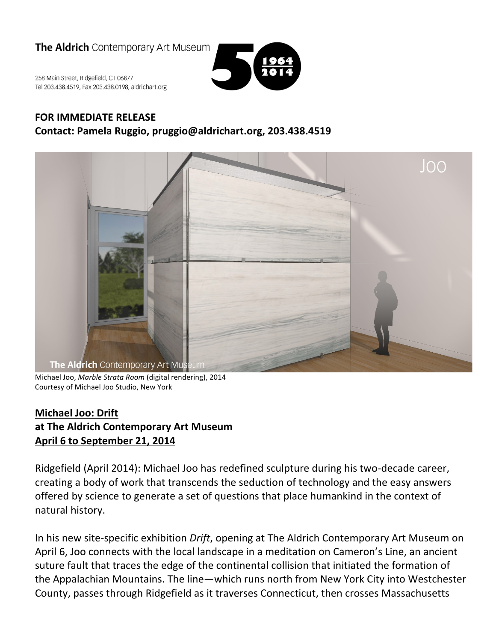

258 Main Street, Ridgefield, CT 06877 Tel 203.438.4519, Fax 203.438.0198, aldrichart.org



### **FOR IMMEDIATE RELEASE Contact: Pamela Ruggio, pruggio@aldrichart.org, 203.438.4519**



Michael Joo, Marble Strata Room (digital rendering), 2014 Courtesy of Michael Joo Studio, New York

# **Michael Joo: Drift at The Aldrich Contemporary Art Museum** April 6 to September 21, 2014

Ridgefield (April 2014): Michael Joo has redefined sculpture during his two-decade career, creating a body of work that transcends the seduction of technology and the easy answers offered by science to generate a set of questions that place humankind in the context of natural history.

In his new site-specific exhibition *Drift*, opening at The Aldrich Contemporary Art Museum on April 6, Joo connects with the local landscape in a meditation on Cameron's Line, an ancient suture fault that traces the edge of the continental collision that initiated the formation of the Appalachian Mountains. The line—which runs north from New York City into Westchester County, passes through Ridgefield as it traverses Connecticut, then crosses Massachusetts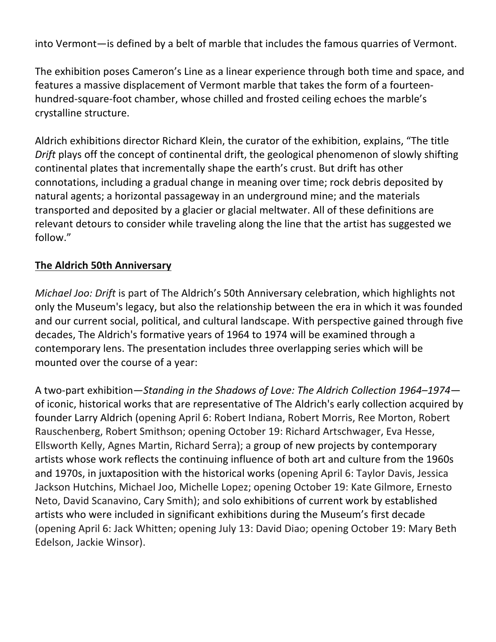into Vermont—is defined by a belt of marble that includes the famous quarries of Vermont.

The exhibition poses Cameron's Line as a linear experience through both time and space, and features a massive displacement of Vermont marble that takes the form of a fourteenhundred-square-foot chamber, whose chilled and frosted ceiling echoes the marble's crystalline structure.

Aldrich exhibitions director Richard Klein, the curator of the exhibition, explains, "The title *Drift* plays off the concept of continental drift, the geological phenomenon of slowly shifting continental plates that incrementally shape the earth's crust. But drift has other connotations, including a gradual change in meaning over time; rock debris deposited by natural agents; a horizontal passageway in an underground mine; and the materials transported and deposited by a glacier or glacial meltwater. All of these definitions are relevant detours to consider while traveling along the line that the artist has suggested we follow." 

# **The Aldrich 50th Anniversary**

*Michael Joo: Drift* is part of The Aldrich's 50th Anniversary celebration, which highlights not only the Museum's legacy, but also the relationship between the era in which it was founded and our current social, political, and cultural landscape. With perspective gained through five decades, The Aldrich's formative years of 1964 to 1974 will be examined through a contemporary lens. The presentation includes three overlapping series which will be mounted over the course of a year:

A two-part exhibition—*Standing in the Shadows of Love: The Aldrich Collection 1964–1974* of iconic, historical works that are representative of The Aldrich's early collection acquired by founder Larry Aldrich (opening April 6: Robert Indiana, Robert Morris, Ree Morton, Robert Rauschenberg, Robert Smithson; opening October 19: Richard Artschwager, Eva Hesse, Ellsworth Kelly, Agnes Martin, Richard Serra); a group of new projects by contemporary artists whose work reflects the continuing influence of both art and culture from the 1960s and 1970s, in juxtaposition with the historical works (opening April 6: Taylor Davis, Jessica Jackson Hutchins, Michael Joo, Michelle Lopez; opening October 19: Kate Gilmore, Ernesto Neto, David Scanavino, Cary Smith); and solo exhibitions of current work by established artists who were included in significant exhibitions during the Museum's first decade (opening April 6: Jack Whitten; opening July 13: David Diao; opening October 19: Mary Beth Edelson, Jackie Winsor).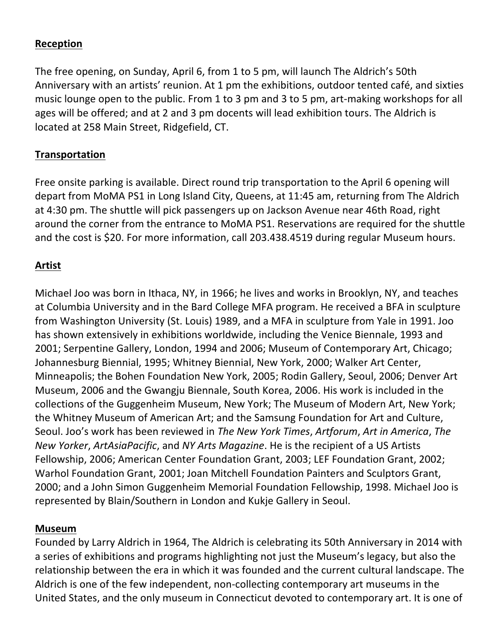#### **Reception**

The free opening, on Sunday, April 6, from 1 to 5 pm, will launch The Aldrich's 50th Anniversary with an artists' reunion. At 1 pm the exhibitions, outdoor tented café, and sixties music lounge open to the public. From 1 to 3 pm and 3 to 5 pm, art-making workshops for all ages will be offered; and at 2 and 3 pm docents will lead exhibition tours. The Aldrich is located at 258 Main Street, Ridgefield, CT.

### **Transportation**

Free onsite parking is available. Direct round trip transportation to the April 6 opening will depart from MoMA PS1 in Long Island City, Queens, at 11:45 am, returning from The Aldrich at 4:30 pm. The shuttle will pick passengers up on Jackson Avenue near 46th Road, right around the corner from the entrance to MoMA PS1. Reservations are required for the shuttle and the cost is \$20. For more information, call 203.438.4519 during regular Museum hours.

## **Artist**

Michael Joo was born in Ithaca, NY, in 1966; he lives and works in Brooklyn, NY, and teaches at Columbia University and in the Bard College MFA program. He received a BFA in sculpture from Washington University (St. Louis) 1989, and a MFA in sculpture from Yale in 1991. Joo has shown extensively in exhibitions worldwide, including the Venice Biennale, 1993 and 2001; Serpentine Gallery, London, 1994 and 2006; Museum of Contemporary Art, Chicago; Johannesburg Biennial, 1995; Whitney Biennial, New York, 2000; Walker Art Center, Minneapolis; the Bohen Foundation New York, 2005; Rodin Gallery, Seoul, 2006; Denver Art Museum, 2006 and the Gwangju Biennale, South Korea, 2006. His work is included in the collections of the Guggenheim Museum, New York; The Museum of Modern Art, New York; the Whitney Museum of American Art; and the Samsung Foundation for Art and Culture, Seoul. Joo's work has been reviewed in The New York Times, Artforum, Art in America, The *New Yorker, ArtAsiaPacific,* and *NY Arts Magazine*. He is the recipient of a US Artists Fellowship, 2006; American Center Foundation Grant, 2003; LEF Foundation Grant, 2002; Warhol Foundation Grant, 2001; Joan Mitchell Foundation Painters and Sculptors Grant, 2000; and a John Simon Guggenheim Memorial Foundation Fellowship, 1998. Michael Joo is represented by Blain/Southern in London and Kukje Gallery in Seoul.

#### **Museum**

Founded by Larry Aldrich in 1964, The Aldrich is celebrating its 50th Anniversary in 2014 with a series of exhibitions and programs highlighting not just the Museum's legacy, but also the relationship between the era in which it was founded and the current cultural landscape. The Aldrich is one of the few independent, non-collecting contemporary art museums in the United States, and the only museum in Connecticut devoted to contemporary art. It is one of